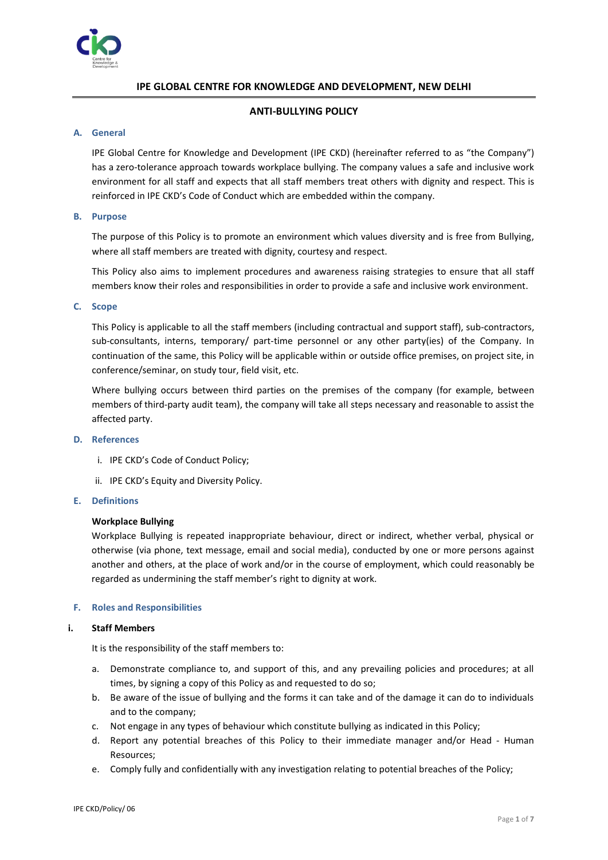

# **IPE GLOBAL CENTRE FOR KNOWLEDGE AND DEVELOPMENT, NEW DELHI**

# **ANTI-BULLYING POLICY**

## **A. General**

IPE Global Centre for Knowledge and Development (IPE CKD) (hereinafter referred to as "the Company") has a zero-tolerance approach towards workplace bullying. The company values a safe and inclusive work environment for all staff and expects that all staff members treat others with dignity and respect. This is reinforced in IPE CKD's Code of Conduct which are embedded within the company.

## **B. Purpose**

The purpose of this Policy is to promote an environment which values diversity and is free from Bullying, where all staff members are treated with dignity, courtesy and respect.

This Policy also aims to implement procedures and awareness raising strategies to ensure that all staff members know their roles and responsibilities in order to provide a safe and inclusive work environment.

## **C. Scope**

This Policy is applicable to all the staff members (including contractual and support staff), sub-contractors, sub-consultants, interns, temporary/ part-time personnel or any other party(ies) of the Company. In continuation of the same, this Policy will be applicable within or outside office premises, on project site, in conference/seminar, on study tour, field visit, etc.

Where bullying occurs between third parties on the premises of the company (for example, between members of third-party audit team), the company will take all steps necessary and reasonable to assist the affected party.

#### **D. References**

- i. IPE CKD's Code of Conduct Policy;
- ii. IPE CKD's Equity and Diversity Policy.

#### **E. Definitions**

## **Workplace Bullying**

Workplace Bullying is repeated inappropriate behaviour, direct or indirect, whether verbal, physical or otherwise (via phone, text message, email and social media), conducted by one or more persons against another and others, at the place of work and/or in the course of employment, which could reasonably be regarded as undermining the staff member's right to dignity at work.

## **F. Roles and Responsibilities**

#### **i. Staff Members**

It is the responsibility of the staff members to:

- a. Demonstrate compliance to, and support of this, and any prevailing policies and procedures; at all times, by signing a copy of this Policy as and requested to do so;
- b. Be aware of the issue of bullying and the forms it can take and of the damage it can do to individuals and to the company;
- c. Not engage in any types of behaviour which constitute bullying as indicated in this Policy;
- d. Report any potential breaches of this Policy to their immediate manager and/or Head Human Resources;
- e. Comply fully and confidentially with any investigation relating to potential breaches of the Policy;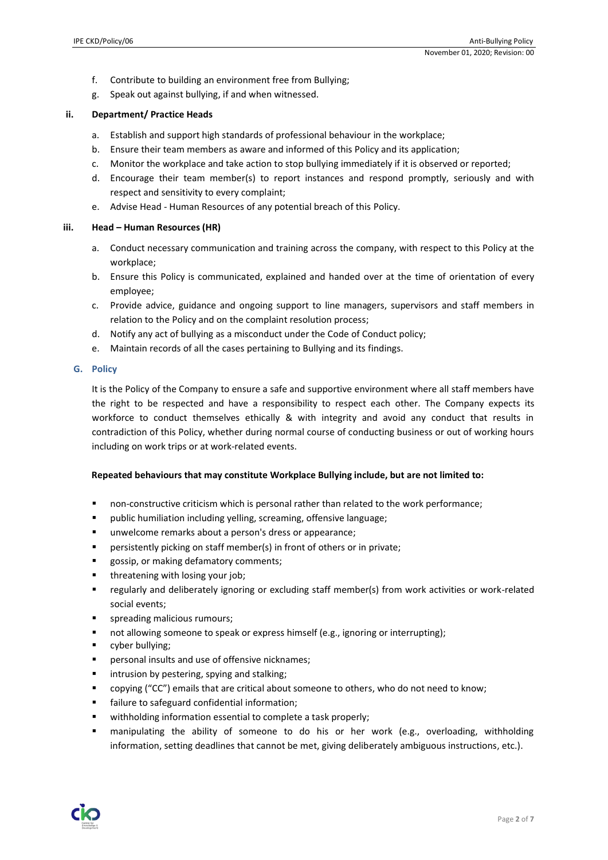- f. Contribute to building an environment free from Bullying;
- g. Speak out against bullying, if and when witnessed.

## **ii. Department/ Practice Heads**

- a. Establish and support high standards of professional behaviour in the workplace;
- b. Ensure their team members as aware and informed of this Policy and its application;
- c. Monitor the workplace and take action to stop bullying immediately if it is observed or reported;
- d. Encourage their team member(s) to report instances and respond promptly, seriously and with respect and sensitivity to every complaint;
- e. Advise Head Human Resources of any potential breach of this Policy.

## **iii. Head – Human Resources (HR)**

- a. Conduct necessary communication and training across the company, with respect to this Policy at the workplace;
- b. Ensure this Policy is communicated, explained and handed over at the time of orientation of every employee;
- c. Provide advice, guidance and ongoing support to line managers, supervisors and staff members in relation to the Policy and on the complaint resolution process;
- d. Notify any act of bullying as a misconduct under the Code of Conduct policy;
- e. Maintain records of all the cases pertaining to Bullying and its findings.

# **G. Policy**

It is the Policy of the Company to ensure a safe and supportive environment where all staff members have the right to be respected and have a responsibility to respect each other. The Company expects its workforce to conduct themselves ethically & with integrity and avoid any conduct that results in contradiction of this Policy, whether during normal course of conducting business or out of working hours including on work trips or at work-related events.

## **Repeated behaviours that may constitute Workplace Bullying include, but are not limited to:**

- non-constructive criticism which is personal rather than related to the work performance;
- public humiliation including yelling, screaming, offensive language;
- unwelcome remarks about a person's dress or appearance;
- **•** persistently picking on staff member(s) in front of others or in private;
- gossip, or making defamatory comments;
- threatening with losing your job;
- regularly and deliberately ignoring or excluding staff member(s) from work activities or work-related social events;
- **■** spreading malicious rumours;
- not allowing someone to speak or express himself (e.g., ignoring or interrupting);
- cyber bullying;
- personal insults and use of offensive nicknames;
- intrusion by pestering, spying and stalking;
- copying ("CC") emails that are critical about someone to others, who do not need to know;
- failure to safeguard confidential information;
- withholding information essential to complete a task properly;
- manipulating the ability of someone to do his or her work (e.g., overloading, withholding information, setting deadlines that cannot be met, giving deliberately ambiguous instructions, etc.).

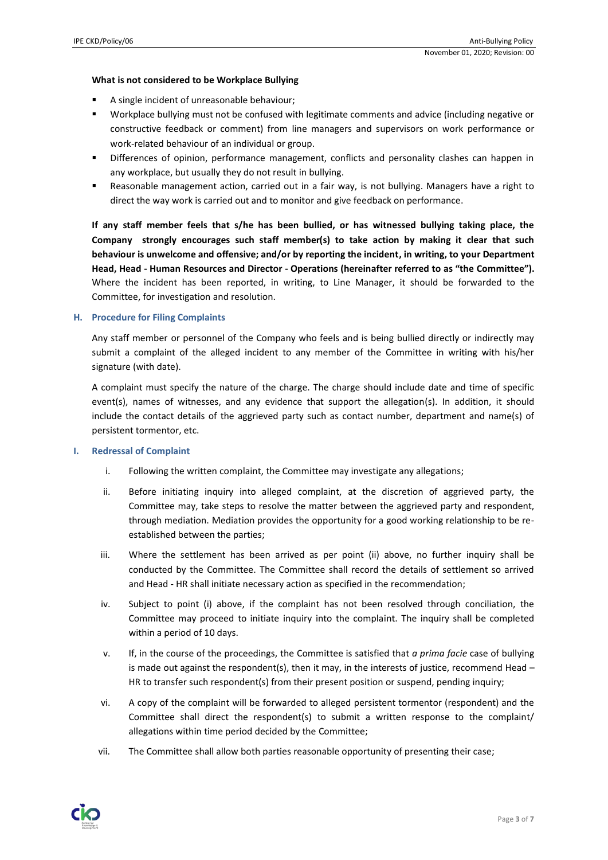### **What is not considered to be Workplace Bullying**

- A single incident of unreasonable behaviour:
- Workplace bullying must not be confused with legitimate comments and advice (including negative or constructive feedback or comment) from line managers and supervisors on work performance or work-related behaviour of an individual or group.
- **•** Differences of opinion, performance management, conflicts and personality clashes can happen in any workplace, but usually they do not result in bullying.
- Reasonable management action, carried out in a fair way, is not bullying. Managers have a right to direct the way work is carried out and to monitor and give feedback on performance.

**If any staff member feels that s/he has been bullied, or has witnessed bullying taking place, the Company strongly encourages such staff member(s) to take action by making it clear that such behaviour is unwelcome and offensive; and/or by reporting the incident, in writing, to your Department Head, Head - Human Resources and Director - Operations (hereinafter referred to as "the Committee").** Where the incident has been reported, in writing, to Line Manager, it should be forwarded to the Committee, for investigation and resolution.

### **H. Procedure for Filing Complaints**

Any staff member or personnel of the Company who feels and is being bullied directly or indirectly may submit a complaint of the alleged incident to any member of the Committee in writing with his/her signature (with date).

A complaint must specify the nature of the charge. The charge should include date and time of specific event(s), names of witnesses, and any evidence that support the allegation(s). In addition, it should include the contact details of the aggrieved party such as contact number, department and name(s) of persistent tormentor, etc.

#### **I. Redressal of Complaint**

- i. Following the written complaint, the Committee may investigate any allegations;
- ii. Before initiating inquiry into alleged complaint, at the discretion of aggrieved party, the Committee may, take steps to resolve the matter between the aggrieved party and respondent, through mediation. Mediation provides the opportunity for a good working relationship to be reestablished between the parties;
- iii. Where the settlement has been arrived as per point (ii) above, no further inquiry shall be conducted by the Committee. The Committee shall record the details of settlement so arrived and Head - HR shall initiate necessary action as specified in the recommendation;
- iv. Subject to point (i) above, if the complaint has not been resolved through conciliation, the Committee may proceed to initiate inquiry into the complaint. The inquiry shall be completed within a period of 10 days.
- v. If, in the course of the proceedings, the Committee is satisfied that *a prima facie* case of bullying is made out against the respondent(s), then it may, in the interests of justice, recommend Head – HR to transfer such respondent(s) from their present position or suspend, pending inquiry;
- vi. A copy of the complaint will be forwarded to alleged persistent tormentor (respondent) and the Committee shall direct the respondent(s) to submit a written response to the complaint/ allegations within time period decided by the Committee;
- vii. The Committee shall allow both parties reasonable opportunity of presenting their case;

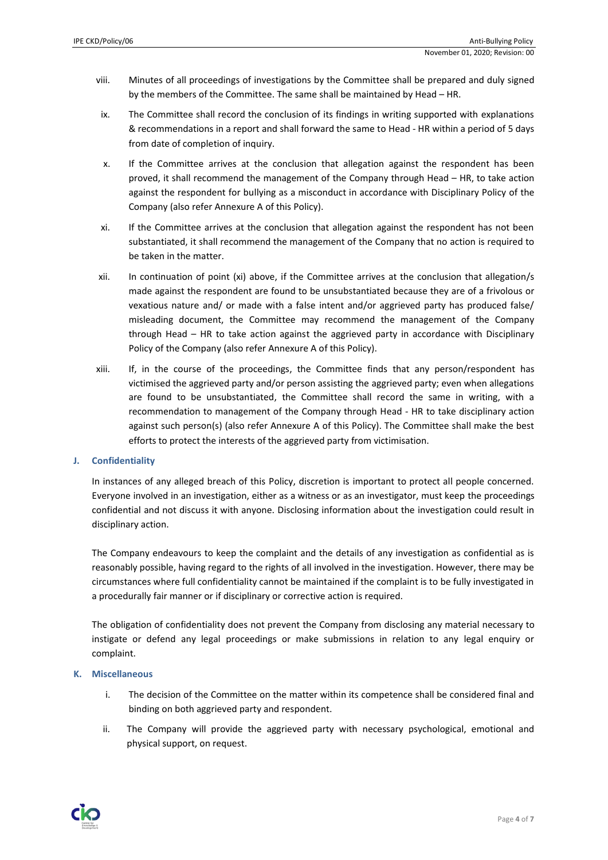- viii. Minutes of all proceedings of investigations by the Committee shall be prepared and duly signed by the members of the Committee. The same shall be maintained by Head – HR.
- ix. The Committee shall record the conclusion of its findings in writing supported with explanations & recommendations in a report and shall forward the same to Head - HR within a period of 5 days from date of completion of inquiry.
- x. If the Committee arrives at the conclusion that allegation against the respondent has been proved, it shall recommend the management of the Company through Head – HR, to take action against the respondent for bullying as a misconduct in accordance with Disciplinary Policy of the Company (also refer Annexure A of this Policy).
- xi. If the Committee arrives at the conclusion that allegation against the respondent has not been substantiated, it shall recommend the management of the Company that no action is required to be taken in the matter.
- xii. In continuation of point (xi) above, if the Committee arrives at the conclusion that allegation/s made against the respondent are found to be unsubstantiated because they are of a frivolous or vexatious nature and/ or made with a false intent and/or aggrieved party has produced false/ misleading document, the Committee may recommend the management of the Company through Head – HR to take action against the aggrieved party in accordance with Disciplinary Policy of the Company (also refer Annexure A of this Policy).
- xiii. If, in the course of the proceedings, the Committee finds that any person/respondent has victimised the aggrieved party and/or person assisting the aggrieved party; even when allegations are found to be unsubstantiated, the Committee shall record the same in writing, with a recommendation to management of the Company through Head - HR to take disciplinary action against such person(s) (also refer Annexure A of this Policy). The Committee shall make the best efforts to protect the interests of the aggrieved party from victimisation.

## **J. Confidentiality**

In instances of any alleged breach of this Policy, discretion is important to protect all people concerned. Everyone involved in an investigation, either as a witness or as an investigator, must keep the proceedings confidential and not discuss it with anyone. Disclosing information about the investigation could result in disciplinary action.

The Company endeavours to keep the complaint and the details of any investigation as confidential as is reasonably possible, having regard to the rights of all involved in the investigation. However, there may be circumstances where full confidentiality cannot be maintained if the complaint is to be fully investigated in a procedurally fair manner or if disciplinary or corrective action is required.

The obligation of confidentiality does not prevent the Company from disclosing any material necessary to instigate or defend any legal proceedings or make submissions in relation to any legal enquiry or complaint.

## **K. Miscellaneous**

- i. The decision of the Committee on the matter within its competence shall be considered final and binding on both aggrieved party and respondent.
- ii. The Company will provide the aggrieved party with necessary psychological, emotional and physical support, on request.

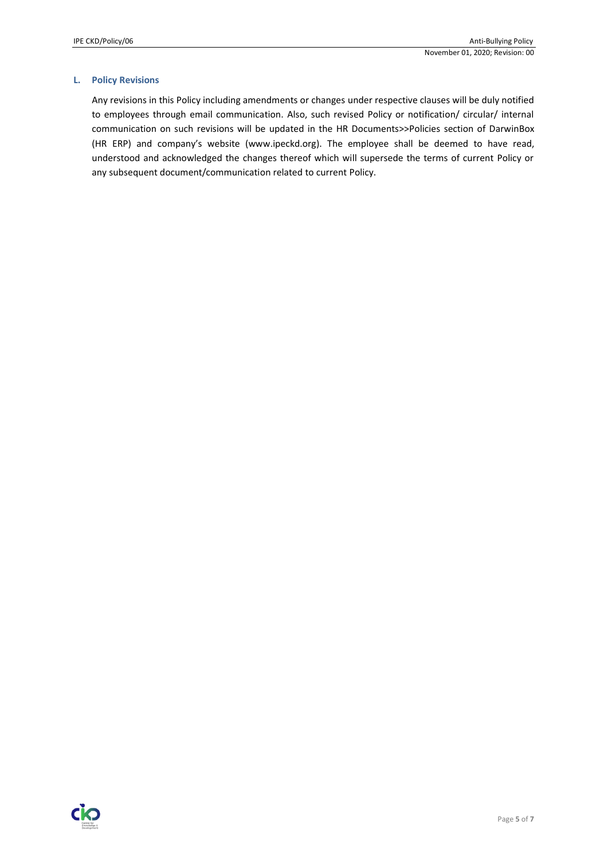### **L. Policy Revisions**

Any revisions in this Policy including amendments or changes under respective clauses will be duly notified to employees through email communication. Also, such revised Policy or notification/ circular/ internal communication on such revisions will be updated in the HR Documents>>Policies section of DarwinBox (HR ERP) and company's website (www.ipeckd.org). The employee shall be deemed to have read, understood and acknowledged the changes thereof which will supersede the terms of current Policy or any subsequent document/communication related to current Policy.

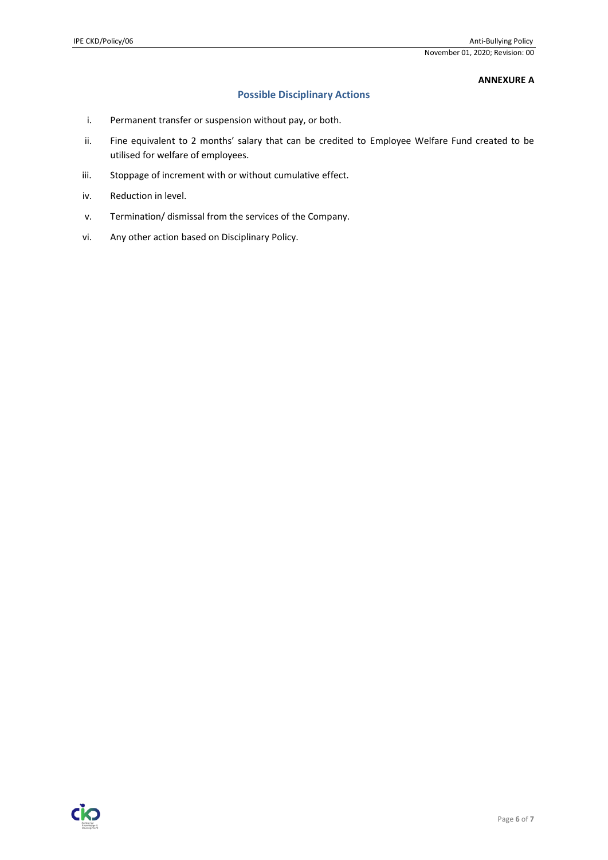# **ANNEXURE A**

# **Possible Disciplinary Actions**

- i. Permanent transfer or suspension without pay, or both.
- ii. Fine equivalent to 2 months' salary that can be credited to Employee Welfare Fund created to be utilised for welfare of employees.
- iii. Stoppage of increment with or without cumulative effect.
- iv. Reduction in level.
- v. Termination/ dismissal from the services of the Company.
- vi. Any other action based on Disciplinary Policy.